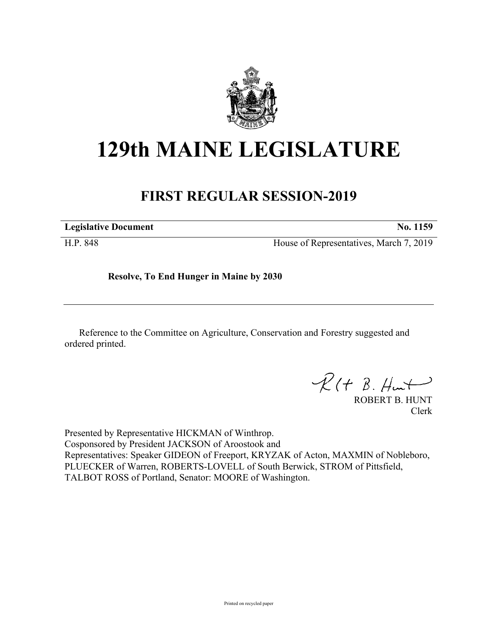

## **129th MAINE LEGISLATURE**

## **FIRST REGULAR SESSION-2019**

**Legislative Document No. 1159**

H.P. 848 House of Representatives, March 7, 2019

**Resolve, To End Hunger in Maine by 2030**

Reference to the Committee on Agriculture, Conservation and Forestry suggested and ordered printed.

 $R(H B. H<sup>u</sup>)$ 

ROBERT B. HUNT Clerk

Presented by Representative HICKMAN of Winthrop. Cosponsored by President JACKSON of Aroostook and Representatives: Speaker GIDEON of Freeport, KRYZAK of Acton, MAXMIN of Nobleboro, PLUECKER of Warren, ROBERTS-LOVELL of South Berwick, STROM of Pittsfield, TALBOT ROSS of Portland, Senator: MOORE of Washington.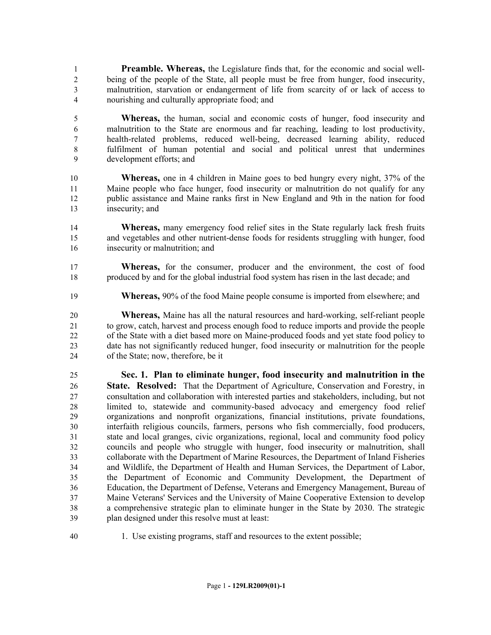**Preamble. Whereas,** the Legislature finds that, for the economic and social well- being of the people of the State, all people must be free from hunger, food insecurity, malnutrition, starvation or endangerment of life from scarcity of or lack of access to nourishing and culturally appropriate food; and

 **Whereas,** the human, social and economic costs of hunger, food insecurity and malnutrition to the State are enormous and far reaching, leading to lost productivity, health-related problems, reduced well-being, decreased learning ability, reduced fulfilment of human potential and social and political unrest that undermines development efforts; and

 **Whereas,** one in 4 children in Maine goes to bed hungry every night, 37% of the Maine people who face hunger, food insecurity or malnutrition do not qualify for any public assistance and Maine ranks first in New England and 9th in the nation for food insecurity; and

**Whereas,** many emergency food relief sites in the State regularly lack fresh fruits and vegetables and other nutrient-dense foods for residents struggling with hunger, food insecurity or malnutrition; and

 **Whereas,** for the consumer, producer and the environment, the cost of food produced by and for the global industrial food system has risen in the last decade; and

**Whereas,** 90% of the food Maine people consume is imported from elsewhere; and

 **Whereas,** Maine has all the natural resources and hard-working, self-reliant people to grow, catch, harvest and process enough food to reduce imports and provide the people of the State with a diet based more on Maine-produced foods and yet state food policy to date has not significantly reduced hunger, food insecurity or malnutrition for the people of the State; now, therefore, be it

 **Sec. 1. Plan to eliminate hunger, food insecurity and malnutrition in the State. Resolved:** That the Department of Agriculture, Conservation and Forestry, in consultation and collaboration with interested parties and stakeholders, including, but not limited to, statewide and community-based advocacy and emergency food relief organizations and nonprofit organizations, financial institutions, private foundations, interfaith religious councils, farmers, persons who fish commercially, food producers, state and local granges, civic organizations, regional, local and community food policy councils and people who struggle with hunger, food insecurity or malnutrition, shall collaborate with the Department of Marine Resources, the Department of Inland Fisheries and Wildlife, the Department of Health and Human Services, the Department of Labor, the Department of Economic and Community Development, the Department of Education, the Department of Defense, Veterans and Emergency Management, Bureau of Maine Veterans' Services and the University of Maine Cooperative Extension to develop a comprehensive strategic plan to eliminate hunger in the State by 2030. The strategic plan designed under this resolve must at least:

1. Use existing programs, staff and resources to the extent possible;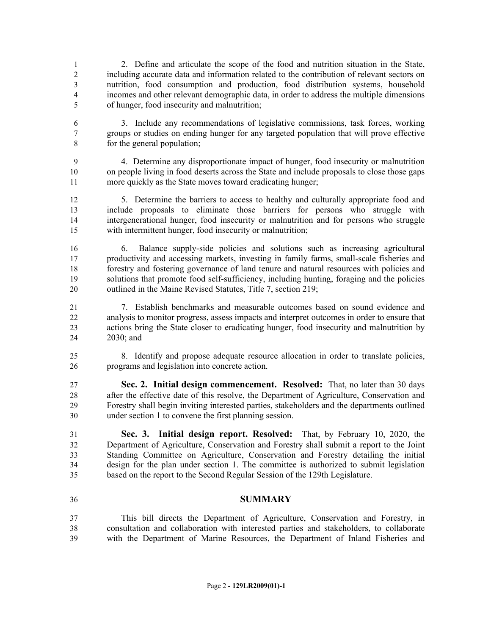2. Define and articulate the scope of the food and nutrition situation in the State, including accurate data and information related to the contribution of relevant sectors on nutrition, food consumption and production, food distribution systems, household incomes and other relevant demographic data, in order to address the multiple dimensions of hunger, food insecurity and malnutrition;

- 3. Include any recommendations of legislative commissions, task forces, working groups or studies on ending hunger for any targeted population that will prove effective for the general population;
- 4. Determine any disproportionate impact of hunger, food insecurity or malnutrition on people living in food deserts across the State and include proposals to close those gaps more quickly as the State moves toward eradicating hunger;
- 5. Determine the barriers to access to healthy and culturally appropriate food and include proposals to eliminate those barriers for persons who struggle with intergenerational hunger, food insecurity or malnutrition and for persons who struggle with intermittent hunger, food insecurity or malnutrition;
- 6. Balance supply-side policies and solutions such as increasing agricultural productivity and accessing markets, investing in family farms, small-scale fisheries and forestry and fostering governance of land tenure and natural resources with policies and solutions that promote food self-sufficiency, including hunting, foraging and the policies 20 outlined in the Maine Revised Statutes, Title 7, section 219;
- 7. Establish benchmarks and measurable outcomes based on sound evidence and analysis to monitor progress, assess impacts and interpret outcomes in order to ensure that actions bring the State closer to eradicating hunger, food insecurity and malnutrition by 2030; and
- 8. Identify and propose adequate resource allocation in order to translate policies, programs and legislation into concrete action.
- **Sec. 2. Initial design commencement. Resolved:** That, no later than 30 days after the effective date of this resolve, the Department of Agriculture, Conservation and Forestry shall begin inviting interested parties, stakeholders and the departments outlined under section 1 to convene the first planning session.
- **Sec. 3. Initial design report. Resolved:** That, by February 10, 2020, the Department of Agriculture, Conservation and Forestry shall submit a report to the Joint Standing Committee on Agriculture, Conservation and Forestry detailing the initial design for the plan under section 1. The committee is authorized to submit legislation based on the report to the Second Regular Session of the 129th Legislature.
- **SUMMARY**
- This bill directs the Department of Agriculture, Conservation and Forestry, in consultation and collaboration with interested parties and stakeholders, to collaborate with the Department of Marine Resources, the Department of Inland Fisheries and